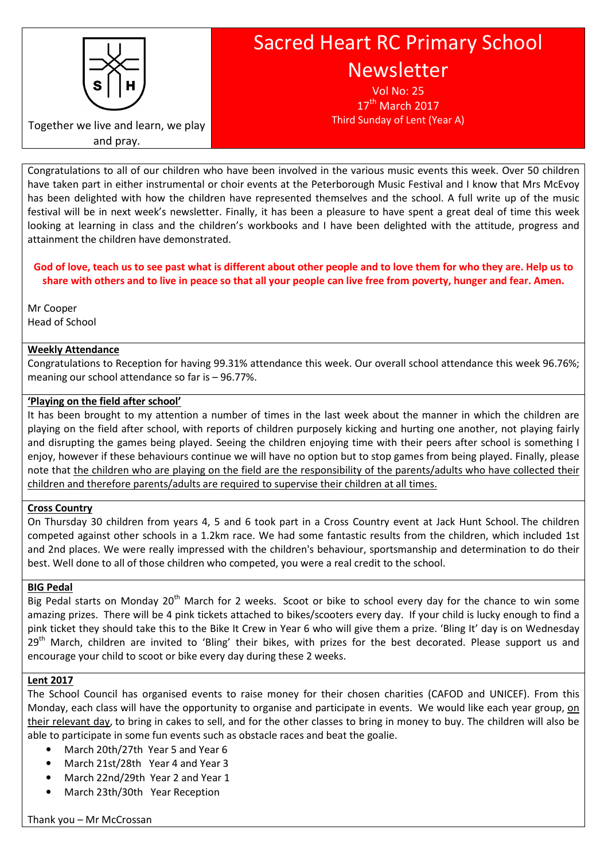

Sacred Heart RC Primary School Newsletter

> Vol No: 25  $17<sup>th</sup>$  March 2017 Third Sunday of Lent (Year A)

Together we live and learn, we play and pray.

Congratulations to all of our children who have been involved in the various music events this week. Over 50 children have taken part in either instrumental or choir events at the Peterborough Music Festival and I know that Mrs McEvoy has been delighted with how the children have represented themselves and the school. A full write up of the music festival will be in next week's newsletter. Finally, it has been a pleasure to have spent a great deal of time this week looking at learning in class and the children's workbooks and I have been delighted with the attitude, progress and attainment the children have demonstrated.

### God of love, teach us to see past what is different about other people and to love them for who they are. Help us to share with others and to live in peace so that all your people can live free from poverty, hunger and fear. Amen.

Mr Cooper Head of School

### Weekly Attendance

Congratulations to Reception for having 99.31% attendance this week. Our overall school attendance this week 96.76%; meaning our school attendance so far is – 96.77%.

### 'Playing on the field after school'

It has been brought to my attention a number of times in the last week about the manner in which the children are playing on the field after school, with reports of children purposely kicking and hurting one another, not playing fairly and disrupting the games being played. Seeing the children enjoying time with their peers after school is something I enjoy, however if these behaviours continue we will have no option but to stop games from being played. Finally, please note that the children who are playing on the field are the responsibility of the parents/adults who have collected their children and therefore parents/adults are required to supervise their children at all times.

## Cross Country

On Thursday 30 children from years 4, 5 and 6 took part in a Cross Country event at Jack Hunt School. The children competed against other schools in a 1.2km race. We had some fantastic results from the children, which included 1st and 2nd places. We were really impressed with the children's behaviour, sportsmanship and determination to do their best. Well done to all of those children who competed, you were a real credit to the school.

### BIG Pedal

Big Pedal starts on Monday 20<sup>th</sup> March for 2 weeks. Scoot or bike to school every day for the chance to win some amazing prizes. There will be 4 pink tickets attached to bikes/scooters every day. If your child is lucky enough to find a pink ticket they should take this to the Bike It Crew in Year 6 who will give them a prize. 'Bling It' day is on Wednesday 29<sup>th</sup> March, children are invited to 'Bling' their bikes, with prizes for the best decorated. Please support us and encourage your child to scoot or bike every day during these 2 weeks.

### Lent 2017

The School Council has organised events to raise money for their chosen charities (CAFOD and UNICEF). From this Monday, each class will have the opportunity to organise and participate in events. We would like each year group, on their relevant day, to bring in cakes to sell, and for the other classes to bring in money to buy. The children will also be able to participate in some fun events such as obstacle races and beat the goalie.

- March 20th/27th Year 5 and Year 6
- March 21st/28th Year 4 and Year 3
- March 22nd/29th Year 2 and Year 1
- March 23th/30th Year Reception